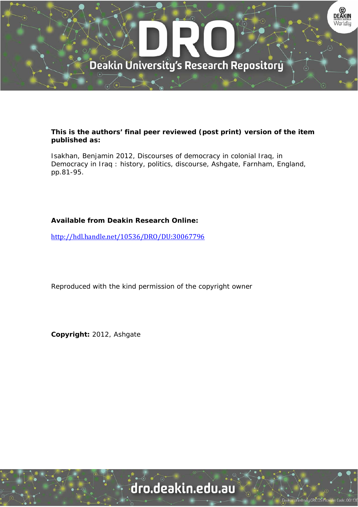

### **This is the authors' final peer reviewed (post print) version of the item published as:**

Isakhan, Benjamin 2012, Discourses of democracy in colonial Iraq, in Democracy in Iraq : history, politics, discourse, Ashgate, Farnham, England, pp.81-95.

## **Available from Deakin Research Online:**

http://hdl.handle.net/10536/DRO/DU:30067796

Reproduced with the kind permission of the copyright owner

**Copyright:** 2012, Ashgate

# dro.deakin.edu.au

**Jniversity CRICOS Prov**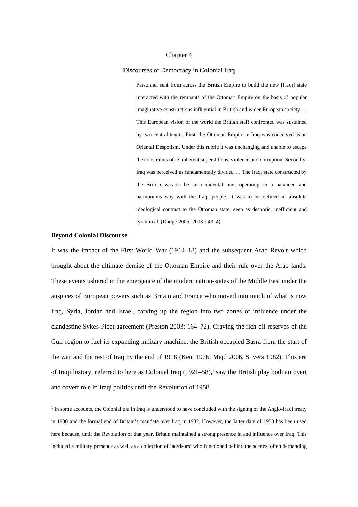#### Chapter 4

#### Discourses of Democracy in Colonial Iraq

Personnel sent from across the British Empire to build the new [Iraqi] state interacted with the remnants of the Ottoman Empire on the basis of popular imaginative constructions influential in British and wider European society … This European vision of the world the British staff confronted was sustained by two central tenets. First, the Ottoman Empire in Iraq was conceived as an Oriental Despotism. Under this rubric it was unchanging and unable to escape the constraints of its inherent superstitions, violence and corruption. Secondly, Iraq was perceived as fundamentally divided … The Iraqi state constructed by the British was to be an occidental one, operating in a balanced and harmonious way with the Iraqi people. It was to be defined in absolute ideological contrast to the Ottoman state, seen as despotic, inefficient and tyrannical. (Dodge 2005 [2003]: 43–4)

#### **Beyond Colonial Discourse**

1

It was the impact of the First World War (1914–18) and the subsequent Arab Revolt which brought about the ultimate demise of the Ottoman Empire and their rule over the Arab lands. These events ushered in the emergence of the modern nation-states of the Middle East under the auspices of European powers such as Britain and France who moved into much of what is now Iraq, Syria, Jordan and Israel, carving up the region into two zones of influence under the clandestine Sykes-Picot agreement (Preston 2003: 164–72). Craving the rich oil reserves of the Gulf region to fuel its expanding military machine, the British occupied Basra from the start of the war and the rest of Iraq by the end of 1918 (Kent 1976, Majd 2006, Stivers 1982). This era of Iraqi history, referred to here as Colonial Iraq  $(1921-58)$ ,<sup>1</sup> saw the British play both an overt and covert role in Iraqi politics until the Revolution of 1958.

<sup>&</sup>lt;sup>1</sup> In some accounts, the Colonial era in Iraq is understood to have concluded with the signing of the Anglo-Iraqi treaty in 1930 and the formal end of Britain's mandate over Iraq in 1932. However, the latter date of 1958 has been used here because, until the Revolution of that year, Britain maintained a strong presence in and influence over Iraq. This included a military presence as well as a collection of 'advisors' who functioned behind the scenes, often demanding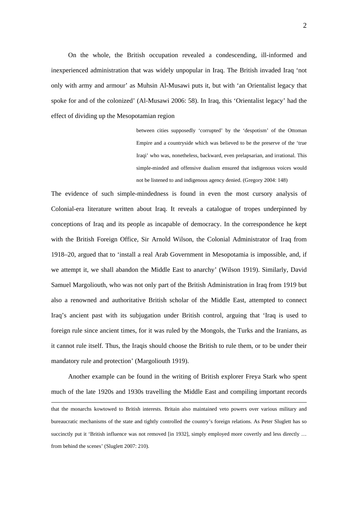On the whole, the British occupation revealed a condescending, ill-informed and inexperienced administration that was widely unpopular in Iraq. The British invaded Iraq 'not only with army and armour' as Muhsin Al-Musawi puts it, but with 'an Orientalist legacy that spoke for and of the colonized' (Al-Musawi 2006: 58). In Iraq, this 'Orientalist legacy' had the effect of dividing up the Mesopotamian region

> between cities supposedly 'corrupted' by the 'despotism' of the Ottoman Empire and a countryside which was believed to be the preserve of the 'true Iraqi' who was, nonetheless, backward, even prelapsarian, and irrational. This simple-minded and offensive dualism ensured that indigenous voices would not be listened to and indigenous agency denied. (Gregory 2004: 148)

The evidence of such simple-mindedness is found in even the most cursory analysis of Colonial-era literature written about Iraq. It reveals a catalogue of tropes underpinned by conceptions of Iraq and its people as incapable of democracy. In the correspondence he kept with the British Foreign Office, Sir Arnold Wilson, the Colonial Administrator of Iraq from 1918–20, argued that to 'install a real Arab Government in Mesopotamia is impossible, and, if we attempt it, we shall abandon the Middle East to anarchy' (Wilson 1919). Similarly, David Samuel Margoliouth, who was not only part of the British Administration in Iraq from 1919 but also a renowned and authoritative British scholar of the Middle East, attempted to connect Iraq's ancient past with its subjugation under British control, arguing that 'Iraq is used to foreign rule since ancient times, for it was ruled by the Mongols, the Turks and the Iranians, as it cannot rule itself. Thus, the Iraqis should choose the British to rule them, or to be under their mandatory rule and protection' (Margoliouth 1919).

Another example can be found in the writing of British explorer Freya Stark who spent much of the late 1920s and 1930s travelling the Middle East and compiling important records

that the monarchs kowtowed to British interests. Britain also maintained veto powers over various military and bureaucratic mechanisms of the state and tightly controlled the country's foreign relations. As Peter Sluglett has so succinctly put it 'British influence was not removed [in 1932], simply employed more covertly and less directly ... from behind the scenes' (Sluglett 2007: 210).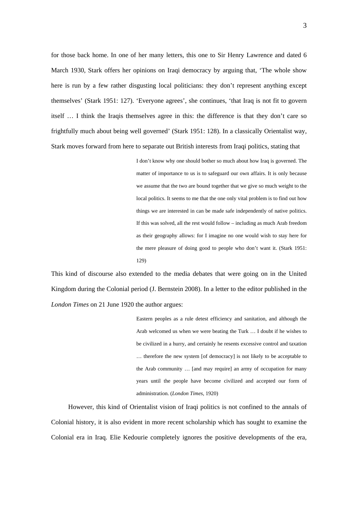for those back home. In one of her many letters, this one to Sir Henry Lawrence and dated 6 March 1930, Stark offers her opinions on Iraqi democracy by arguing that, 'The whole show here is run by a few rather disgusting local politicians: they don't represent anything except themselves' (Stark 1951: 127). 'Everyone agrees', she continues, 'that Iraq is not fit to govern itself … I think the Iraqis themselves agree in this: the difference is that they don't care so frightfully much about being well governed' (Stark 1951: 128). In a classically Orientalist way, Stark moves forward from here to separate out British interests from Iraqi politics, stating that

> I don't know why one should bother so much about how Iraq is governed. The matter of importance to us is to safeguard our own affairs. It is only because we assume that the two are bound together that we give so much weight to the local politics. It seems to me that the one only vital problem is to find out how things we are interested in can be made safe independently of native politics. If this was solved, all the rest would follow – including as much Arab freedom as their geography allows: for I imagine no one would wish to stay here for the mere pleasure of doing good to people who don't want it. (Stark 1951: 129)

This kind of discourse also extended to the media debates that were going on in the United Kingdom during the Colonial period (J. Bernstein 2008). In a letter to the editor published in the *London Times* on 21 June 1920 the author argues:

> Eastern peoples as a rule detest efficiency and sanitation, and although the Arab welcomed us when we were beating the Turk … I doubt if he wishes to be civilized in a hurry, and certainly he resents excessive control and taxation … therefore the new system [of democracy] is not likely to be acceptable to the Arab community … [and may require] an army of occupation for many years until the people have become civilized and accepted our form of administration. (*London Times*, 1920)

However, this kind of Orientalist vision of Iraqi politics is not confined to the annals of Colonial history, it is also evident in more recent scholarship which has sought to examine the Colonial era in Iraq. Elie Kedourie completely ignores the positive developments of the era,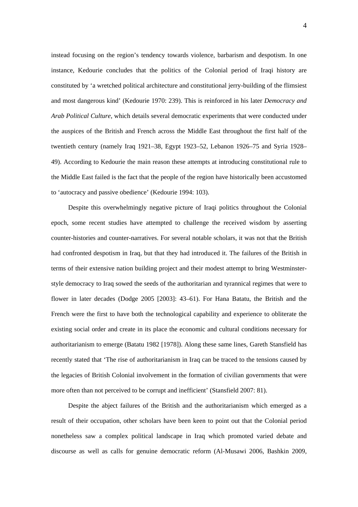instead focusing on the region's tendency towards violence, barbarism and despotism. In one instance, Kedourie concludes that the politics of the Colonial period of Iraqi history are constituted by 'a wretched political architecture and constitutional jerry-building of the flimsiest and most dangerous kind' (Kedourie 1970: 239). This is reinforced in his later *Democracy and Arab Political Culture*, which details several democratic experiments that were conducted under the auspices of the British and French across the Middle East throughout the first half of the twentieth century (namely Iraq 1921–38, Egypt 1923–52, Lebanon 1926–75 and Syria 1928– 49). According to Kedourie the main reason these attempts at introducing constitutional rule to the Middle East failed is the fact that the people of the region have historically been accustomed to 'autocracy and passive obedience' (Kedourie 1994: 103).

Despite this overwhelmingly negative picture of Iraqi politics throughout the Colonial epoch, some recent studies have attempted to challenge the received wisdom by asserting counter-histories and counter-narratives. For several notable scholars, it was not that the British had confronted despotism in Iraq, but that they had introduced it. The failures of the British in terms of their extensive nation building project and their modest attempt to bring Westminsterstyle democracy to Iraq sowed the seeds of the authoritarian and tyrannical regimes that were to flower in later decades (Dodge 2005 [2003]: 43–61). For Hana Batatu, the British and the French were the first to have both the technological capability and experience to obliterate the existing social order and create in its place the economic and cultural conditions necessary for authoritarianism to emerge (Batatu 1982 [1978]). Along these same lines, Gareth Stansfield has recently stated that 'The rise of authoritarianism in Iraq can be traced to the tensions caused by the legacies of British Colonial involvement in the formation of civilian governments that were more often than not perceived to be corrupt and inefficient' (Stansfield 2007: 81).

Despite the abject failures of the British and the authoritarianism which emerged as a result of their occupation, other scholars have been keen to point out that the Colonial period nonetheless saw a complex political landscape in Iraq which promoted varied debate and discourse as well as calls for genuine democratic reform (Al-Musawi 2006, Bashkin 2009,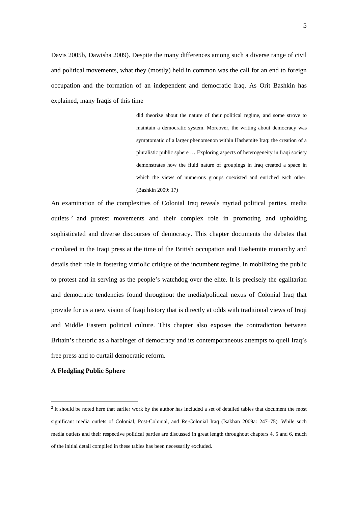Davis 2005b, Dawisha 2009). Despite the many differences among such a diverse range of civil and political movements, what they (mostly) held in common was the call for an end to foreign occupation and the formation of an independent and democratic Iraq. As Orit Bashkin has explained, many Iraqis of this time

> did theorize about the nature of their political regime, and some strove to maintain a democratic system. Moreover, the writing about democracy was symptomatic of a larger phenomenon within Hashemite Iraq: the creation of a pluralistic public sphere … Exploring aspects of heterogeneity in Iraqi society demonstrates how the fluid nature of groupings in Iraq created a space in which the views of numerous groups coexisted and enriched each other. (Bashkin 2009: 17)

An examination of the complexities of Colonial Iraq reveals myriad political parties, media outlets 2 and protest movements and their complex role in promoting and upholding sophisticated and diverse discourses of democracy. This chapter documents the debates that circulated in the Iraqi press at the time of the British occupation and Hashemite monarchy and details their role in fostering vitriolic critique of the incumbent regime, in mobilizing the public to protest and in serving as the people's watchdog over the elite. It is precisely the egalitarian and democratic tendencies found throughout the media/political nexus of Colonial Iraq that provide for us a new vision of Iraqi history that is directly at odds with traditional views of Iraqi and Middle Eastern political culture. This chapter also exposes the contradiction between Britain's rhetoric as a harbinger of democracy and its contemporaneous attempts to quell Iraq's free press and to curtail democratic reform.

#### **A Fledgling Public Sphere**

1

 $2$  It should be noted here that earlier work by the author has included a set of detailed tables that document the most significant media outlets of Colonial, Post-Colonial, and Re-Colonial Iraq (Isakhan 2009a: 247–75). While such media outlets and their respective political parties are discussed in great length throughout chapters 4, 5 and 6, much of the initial detail compiled in these tables has been necessarily excluded.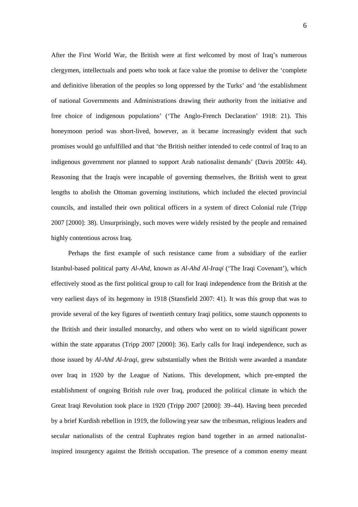After the First World War, the British were at first welcomed by most of Iraq's numerous clergymen, intellectuals and poets who took at face value the promise to deliver the 'complete and definitive liberation of the peoples so long oppressed by the Turks' and 'the establishment of national Governments and Administrations drawing their authority from the initiative and free choice of indigenous populations' ('The Anglo-French Declaration' 1918: 21). This honeymoon period was short-lived, however, as it became increasingly evident that such promises would go unfulfilled and that 'the British neither intended to cede control of Iraq to an indigenous government nor planned to support Arab nationalist demands' (Davis 2005b: 44). Reasoning that the Iraqis were incapable of governing themselves, the British went to great lengths to abolish the Ottoman governing institutions, which included the elected provincial councils, and installed their own political officers in a system of direct Colonial rule (Tripp 2007 [2000]: 38). Unsurprisingly, such moves were widely resisted by the people and remained highly contentious across Iraq.

Perhaps the first example of such resistance came from a subsidiary of the earlier Istanbul-based political party *Al-Ahd*, known as *Al-Ahd Al-Iraqi* ('The Iraqi Covenant'), which effectively stood as the first political group to call for Iraqi independence from the British at the very earliest days of its hegemony in 1918 (Stansfield 2007: 41). It was this group that was to provide several of the key figures of twentieth century Iraqi politics, some staunch opponents to the British and their installed monarchy, and others who went on to wield significant power within the state apparatus (Tripp 2007 [2000]: 36). Early calls for Iraqi independence, such as those issued by *Al-Ahd Al-Iraqi*, grew substantially when the British were awarded a mandate over Iraq in 1920 by the League of Nations. This development, which pre-empted the establishment of ongoing British rule over Iraq, produced the political climate in which the Great Iraqi Revolution took place in 1920 (Tripp 2007 [2000]: 39–44). Having been preceded by a brief Kurdish rebellion in 1919, the following year saw the tribesman, religious leaders and secular nationalists of the central Euphrates region band together in an armed nationalistinspired insurgency against the British occupation. The presence of a common enemy meant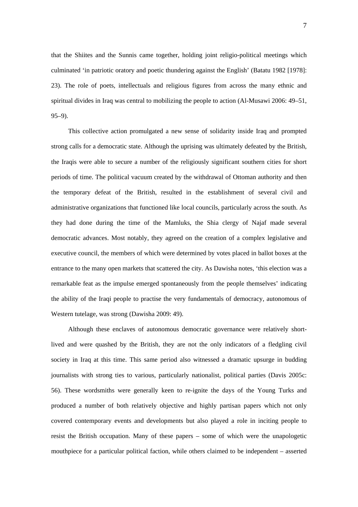that the Shiites and the Sunnis came together, holding joint religio-political meetings which culminated 'in patriotic oratory and poetic thundering against the English' (Batatu 1982 [1978]: 23). The role of poets, intellectuals and religious figures from across the many ethnic and spiritual divides in Iraq was central to mobilizing the people to action (Al-Musawi 2006: 49–51, 95–9).

This collective action promulgated a new sense of solidarity inside Iraq and prompted strong calls for a democratic state. Although the uprising was ultimately defeated by the British, the Iraqis were able to secure a number of the religiously significant southern cities for short periods of time. The political vacuum created by the withdrawal of Ottoman authority and then the temporary defeat of the British, resulted in the establishment of several civil and administrative organizations that functioned like local councils, particularly across the south. As they had done during the time of the Mamluks, the Shia clergy of Najaf made several democratic advances. Most notably, they agreed on the creation of a complex legislative and executive council, the members of which were determined by votes placed in ballot boxes at the entrance to the many open markets that scattered the city. As Dawisha notes, 'this election was a remarkable feat as the impulse emerged spontaneously from the people themselves' indicating the ability of the Iraqi people to practise the very fundamentals of democracy, autonomous of Western tutelage, was strong (Dawisha 2009: 49).

Although these enclaves of autonomous democratic governance were relatively shortlived and were quashed by the British, they are not the only indicators of a fledgling civil society in Iraq at this time. This same period also witnessed a dramatic upsurge in budding journalists with strong ties to various, particularly nationalist, political parties (Davis 2005c: 56). These wordsmiths were generally keen to re-ignite the days of the Young Turks and produced a number of both relatively objective and highly partisan papers which not only covered contemporary events and developments but also played a role in inciting people to resist the British occupation. Many of these papers – some of which were the unapologetic mouthpiece for a particular political faction, while others claimed to be independent – asserted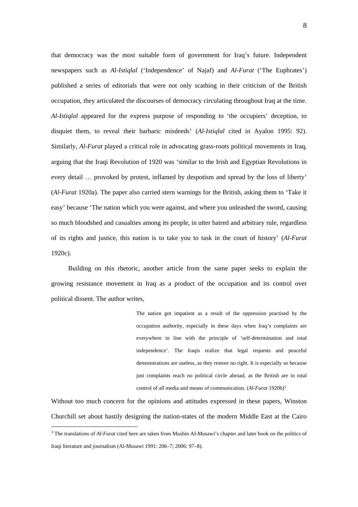that democracy was the most suitable form of government for Iraq's future. Independent newspapers such as *Al-Istiqlal* ('Independence' of Najaf) and *Al-Furat* ('The Euphrates') published a series of editorials that were not only scathing in their criticism of the British occupation, they articulated the discourses of democracy circulating throughout Iraq at the time. *Al-Istiqlal* appeared for the express purpose of responding to 'the occupiers' deception, to disquiet them, to reveal their barbaric misdeeds' (*Al-Istiqlal* cited in Ayalon 1995: 92). Similarly, *Al-Furat* played a critical role in advocating grass-roots political movements in Iraq, arguing that the Iraqi Revolution of 1920 was 'similar to the Irish and Egyptian Revolutions in every detail … provoked by protest, inflamed by despotism and spread by the loss of liberty' (*Al-Furat* 1920a). The paper also carried stern warnings for the British, asking them to 'Take it easy' because 'The nation which you were against, and where you unleashed the sword, causing so much bloodshed and casualties among its people, in utter hatred and arbitrary rule, regardless of its rights and justice, this nation is to take you to task in the court of history' (*Al-Furat* 1920c).

Building on this rhetoric, another article from the same paper seeks to explain the growing resistance movement in Iraq as a product of the occupation and its control over political dissent. The author writes,

> The nation got impatient as a result of the oppression practised by the occupation authority, especially in these days when Iraq's complaints are everywhere in line with the principle of 'self-determination and total independence'. The Iraqis realize that legal requests and peaceful demonstrations are useless, as they restore no right. It is especially so because just complaints reach no political circle abroad, as the British are in total control of all media and means of communication. (*Al-Furat* 1920b)3

Without too much concern for the opinions and attitudes expressed in these papers, Winston Churchill set about hastily designing the nation-states of the modern Middle East at the Cairo

<u>.</u>

<sup>3</sup> The translations of *Al-Furat* cited here are taken from Mushin Al-Musawi's chapter and later book on the politics of Iraqi literature and journalism (Al-Musawi 1991: 206–7; 2006: 97–8).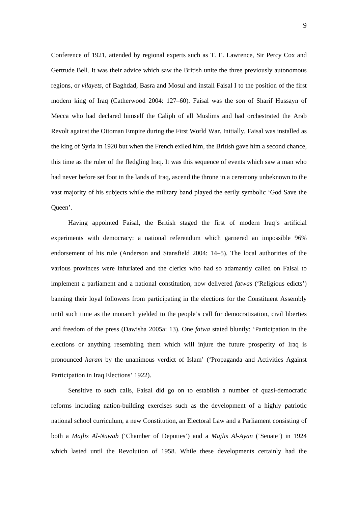Conference of 1921, attended by regional experts such as T. E. Lawrence, Sir Percy Cox and Gertrude Bell. It was their advice which saw the British unite the three previously autonomous regions, or *vilayets*, of Baghdad, Basra and Mosul and install Faisal I to the position of the first modern king of Iraq (Catherwood 2004: 127–60). Faisal was the son of Sharif Hussayn of Mecca who had declared himself the Caliph of all Muslims and had orchestrated the Arab Revolt against the Ottoman Empire during the First World War. Initially, Faisal was installed as the king of Syria in 1920 but when the French exiled him, the British gave him a second chance, this time as the ruler of the fledgling Iraq. It was this sequence of events which saw a man who had never before set foot in the lands of Iraq, ascend the throne in a ceremony unbeknown to the vast majority of his subjects while the military band played the eerily symbolic 'God Save the Queen'.

Having appointed Faisal, the British staged the first of modern Iraq's artificial experiments with democracy: a national referendum which garnered an impossible 96% endorsement of his rule (Anderson and Stansfield 2004: 14–5). The local authorities of the various provinces were infuriated and the clerics who had so adamantly called on Faisal to implement a parliament and a national constitution, now delivered *fatwas* ('Religious edicts') banning their loyal followers from participating in the elections for the Constituent Assembly until such time as the monarch yielded to the people's call for democratization, civil liberties and freedom of the press (Dawisha 2005a: 13). One *fatwa* stated bluntly: 'Participation in the elections or anything resembling them which will injure the future prosperity of Iraq is pronounced *haram* by the unanimous verdict of Islam' ('Propaganda and Activities Against Participation in Iraq Elections' 1922).

Sensitive to such calls, Faisal did go on to establish a number of quasi-democratic reforms including nation-building exercises such as the development of a highly patriotic national school curriculum, a new Constitution, an Electoral Law and a Parliament consisting of both a *Majlis Al-Nuwab* ('Chamber of Deputies') and a *Majlis Al-Ayan* ('Senate') in 1924 which lasted until the Revolution of 1958. While these developments certainly had the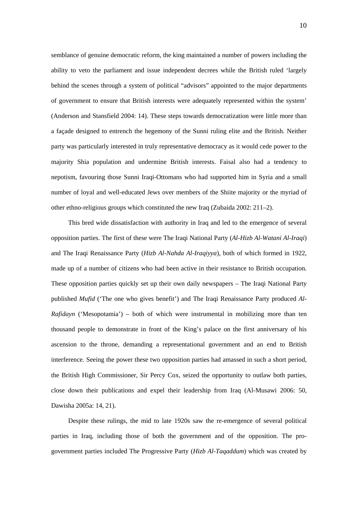semblance of genuine democratic reform, the king maintained a number of powers including the ability to veto the parliament and issue independent decrees while the British ruled 'largely behind the scenes through a system of political "advisors" appointed to the major departments of government to ensure that British interests were adequately represented within the system' (Anderson and Stansfield 2004: 14). These steps towards democratization were little more than a façade designed to entrench the hegemony of the Sunni ruling elite and the British. Neither party was particularly interested in truly representative democracy as it would cede power to the majority Shia population and undermine British interests. Faisal also had a tendency to nepotism, favouring those Sunni Iraqi-Ottomans who had supported him in Syria and a small number of loyal and well-educated Jews over members of the Shiite majority or the myriad of other ethno-religious groups which constituted the new Iraq (Zubaida 2002: 211–2).

This bred wide dissatisfaction with authority in Iraq and led to the emergence of several opposition parties. The first of these were The Iraqi National Party (*Al-Hizb Al-Watani Al-Iraqi*) and The Iraqi Renaissance Party (*Hizb Al-Nahda Al-Iraqiyya*), both of which formed in 1922, made up of a number of citizens who had been active in their resistance to British occupation. These opposition parties quickly set up their own daily newspapers – The Iraqi National Party published *Mufid* ('The one who gives benefit') and The Iraqi Renaissance Party produced *Al-Rafidayn* ('Mesopotamia') – both of which were instrumental in mobilizing more than ten thousand people to demonstrate in front of the King's palace on the first anniversary of his ascension to the throne, demanding a representational government and an end to British interference. Seeing the power these two opposition parties had amassed in such a short period, the British High Commissioner, Sir Percy Cox, seized the opportunity to outlaw both parties, close down their publications and expel their leadership from Iraq (Al-Musawi 2006: 50, Dawisha 2005a: 14, 21).

Despite these rulings, the mid to late 1920s saw the re-emergence of several political parties in Iraq, including those of both the government and of the opposition. The progovernment parties included The Progressive Party (*Hizb Al-Taqaddum*) which was created by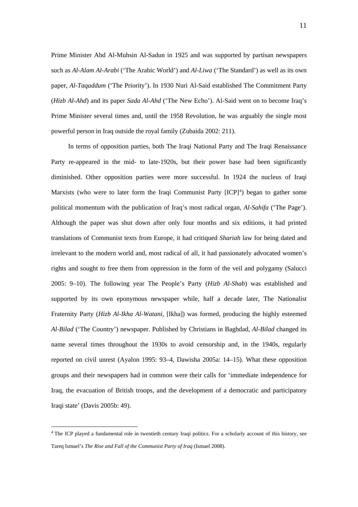Prime Minister Abd Al-Muhsin Al-Sadun in 1925 and was supported by partisan newspapers such as *Al-Alam Al-Arabi* ('The Arabic World') and *Al-Liwa* ('The Standard') as well as its own paper, *Al-Taqaddum* ('The Priority'). In 1930 Nuri Al-Said established The Commitment Party (*Hizb Al-Ahd*) and its paper *Sada Al-Ahd* ('The New Echo'). Al-Said went on to become Iraq's Prime Minister several times and, until the 1958 Revolution, he was arguably the single most powerful person in Iraq outside the royal family (Zubaida 2002: 211).

In terms of opposition parties, both The Iraqi National Party and The Iraqi Renaissance Party re-appeared in the mid- to late-1920s, but their power base had been significantly diminished. Other opposition parties were more successful. In 1924 the nucleus of Iraqi Marxists (who were to later form the Iraqi Communist Party  $[ICP]^4$ ) began to gather some political momentum with the publication of Iraq's most radical organ, *Al-Sahifa* ('The Page'). Although the paper was shut down after only four months and six editions, it had printed translations of Communist texts from Europe, it had critiqued *Shariah* law for being dated and irrelevant to the modern world and, most radical of all, it had passionately advocated women's rights and sought to free them from oppression in the form of the veil and polygamy (Salucci 2005: 9–10). The following year The People's Party (*Hizb Al-Shab*) was established and supported by its own eponymous newspaper while, half a decade later, The Nationalist Fraternity Party (*Hizb Al-Ikha Al-Watani*, [Ikha]) was formed, producing the highly esteemed *Al-Bilad* ('The Country') newspaper. Published by Christians in Baghdad, *Al-Bilad* changed its name several times throughout the 1930s to avoid censorship and, in the 1940s, regularly reported on civil unrest (Ayalon 1995: 93–4, Dawisha 2005a: 14–15). What these opposition groups and their newspapers had in common were their calls for 'immediate independence for Iraq, the evacuation of British troops, and the development of a democratic and participatory Iraqi state' (Davis 2005b: 49).

<u>.</u>

<sup>&</sup>lt;sup>4</sup> The ICP played a fundamental role in twentieth century Iraqi politics. For a scholarly account of this history, see Tareq Ismael's *The Rise and Fall of the Communist Party of Iraq* (Ismael 2008).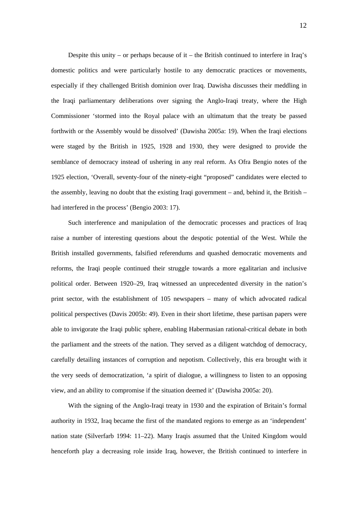Despite this unity – or perhaps because of it – the British continued to interfere in Iraq's domestic politics and were particularly hostile to any democratic practices or movements, especially if they challenged British dominion over Iraq. Dawisha discusses their meddling in the Iraqi parliamentary deliberations over signing the Anglo-Iraqi treaty, where the High Commissioner 'stormed into the Royal palace with an ultimatum that the treaty be passed forthwith or the Assembly would be dissolved' (Dawisha 2005a: 19). When the Iraqi elections were staged by the British in 1925, 1928 and 1930, they were designed to provide the semblance of democracy instead of ushering in any real reform. As Ofra Bengio notes of the 1925 election, 'Overall, seventy-four of the ninety-eight "proposed" candidates were elected to the assembly, leaving no doubt that the existing Iraqi government – and, behind it, the British – had interfered in the process' (Bengio 2003: 17).

Such interference and manipulation of the democratic processes and practices of Iraq raise a number of interesting questions about the despotic potential of the West. While the British installed governments, falsified referendums and quashed democratic movements and reforms, the Iraqi people continued their struggle towards a more egalitarian and inclusive political order. Between 1920–29, Iraq witnessed an unprecedented diversity in the nation's print sector, with the establishment of 105 newspapers – many of which advocated radical political perspectives (Davis 2005b: 49). Even in their short lifetime, these partisan papers were able to invigorate the Iraqi public sphere, enabling Habermasian rational-critical debate in both the parliament and the streets of the nation. They served as a diligent watchdog of democracy, carefully detailing instances of corruption and nepotism. Collectively, this era brought with it the very seeds of democratization, 'a spirit of dialogue, a willingness to listen to an opposing view, and an ability to compromise if the situation deemed it' (Dawisha 2005a: 20).

With the signing of the Anglo-Iraqi treaty in 1930 and the expiration of Britain's formal authority in 1932, Iraq became the first of the mandated regions to emerge as an 'independent' nation state (Silverfarb 1994: 11–22). Many Iraqis assumed that the United Kingdom would henceforth play a decreasing role inside Iraq, however, the British continued to interfere in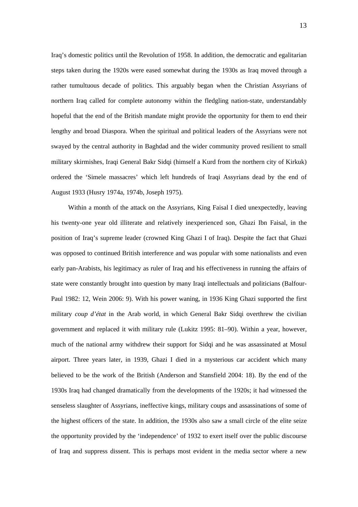Iraq's domestic politics until the Revolution of 1958. In addition, the democratic and egalitarian steps taken during the 1920s were eased somewhat during the 1930s as Iraq moved through a rather tumultuous decade of politics. This arguably began when the Christian Assyrians of northern Iraq called for complete autonomy within the fledgling nation-state, understandably hopeful that the end of the British mandate might provide the opportunity for them to end their lengthy and broad Diaspora. When the spiritual and political leaders of the Assyrians were not swayed by the central authority in Baghdad and the wider community proved resilient to small military skirmishes, Iraqi General Bakr Sidqi (himself a Kurd from the northern city of Kirkuk) ordered the 'Simele massacres' which left hundreds of Iraqi Assyrians dead by the end of August 1933 (Husry 1974a, 1974b, Joseph 1975).

Within a month of the attack on the Assyrians, King Faisal I died unexpectedly, leaving his twenty-one year old illiterate and relatively inexperienced son, Ghazi Ibn Faisal, in the position of Iraq's supreme leader (crowned King Ghazi I of Iraq). Despite the fact that Ghazi was opposed to continued British interference and was popular with some nationalists and even early pan-Arabists, his legitimacy as ruler of Iraq and his effectiveness in running the affairs of state were constantly brought into question by many Iraqi intellectuals and politicians (Balfour-Paul 1982: 12, Wein 2006: 9). With his power waning, in 1936 King Ghazi supported the first military *coup d'état* in the Arab world, in which General Bakr Sidqi overthrew the civilian government and replaced it with military rule (Lukitz 1995: 81–90). Within a year, however, much of the national army withdrew their support for Sidqi and he was assassinated at Mosul airport. Three years later, in 1939, Ghazi I died in a mysterious car accident which many believed to be the work of the British (Anderson and Stansfield 2004: 18). By the end of the 1930s Iraq had changed dramatically from the developments of the 1920s; it had witnessed the senseless slaughter of Assyrians, ineffective kings, military coups and assassinations of some of the highest officers of the state. In addition, the 1930s also saw a small circle of the elite seize the opportunity provided by the 'independence' of 1932 to exert itself over the public discourse of Iraq and suppress dissent. This is perhaps most evident in the media sector where a new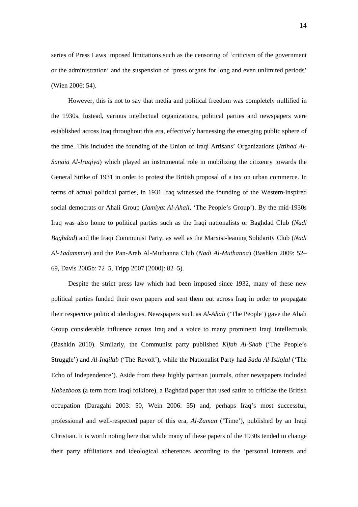series of Press Laws imposed limitations such as the censoring of 'criticism of the government or the administration' and the suspension of 'press organs for long and even unlimited periods' (Wien 2006: 54).

However, this is not to say that media and political freedom was completely nullified in the 1930s. Instead, various intellectual organizations, political parties and newspapers were established across Iraq throughout this era, effectively harnessing the emerging public sphere of the time. This included the founding of the Union of Iraqi Artisans' Organizations (*Ittihad Al-Sanaia Al-Iraqiya*) which played an instrumental role in mobilizing the citizenry towards the General Strike of 1931 in order to protest the British proposal of a tax on urban commerce. In terms of actual political parties, in 1931 Iraq witnessed the founding of the Western-inspired social democrats or Ahali Group (*Jamiyat Al-Ahali*, 'The People's Group'). By the mid-1930s Iraq was also home to political parties such as the Iraqi nationalists or Baghdad Club (*Nadi Baghdad*) and the Iraqi Communist Party, as well as the Marxist-leaning Solidarity Club (*Nadi Al-Tadammun*) and the Pan-Arab Al-Muthanna Club (*Nadi Al-Muthanna*) (Bashkin 2009: 52– 69, Davis 2005b: 72–5, Tripp 2007 [2000]: 82–5).

Despite the strict press law which had been imposed since 1932, many of these new political parties funded their own papers and sent them out across Iraq in order to propagate their respective political ideologies. Newspapers such as *Al-Ahali* ('The People') gave the Ahali Group considerable influence across Iraq and a voice to many prominent Iraqi intellectuals (Bashkin 2010). Similarly, the Communist party published *Kifah Al-Shab* ('The People's Struggle') and *Al-Inqilab* ('The Revolt'), while the Nationalist Party had *Sada Al-Istiqlal* ('The Echo of Independence'). Aside from these highly partisan journals, other newspapers included *Habezboo*z (a term from Iraqi folklore), a Baghdad paper that used satire to criticize the British occupation (Daragahi 2003: 50, Wein 2006: 55) and, perhaps Iraq's most successful, professional and well-respected paper of this era, *Al-Zaman* ('Time'), published by an Iraqi Christian. It is worth noting here that while many of these papers of the 1930s tended to change their party affiliations and ideological adherences according to the 'personal interests and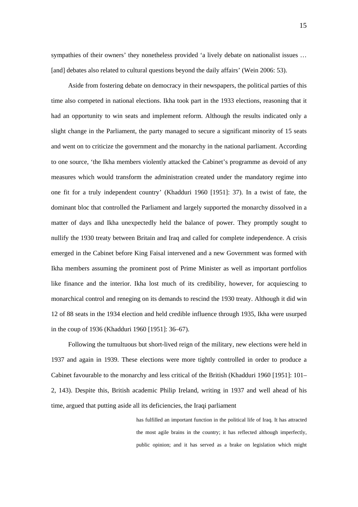sympathies of their owners' they nonetheless provided 'a lively debate on nationalist issues … [and] debates also related to cultural questions beyond the daily affairs' (Wein 2006: 53).

Aside from fostering debate on democracy in their newspapers, the political parties of this time also competed in national elections. Ikha took part in the 1933 elections, reasoning that it had an opportunity to win seats and implement reform. Although the results indicated only a slight change in the Parliament, the party managed to secure a significant minority of 15 seats and went on to criticize the government and the monarchy in the national parliament. According to one source, 'the Ikha members violently attacked the Cabinet's programme as devoid of any measures which would transform the administration created under the mandatory regime into one fit for a truly independent country' (Khadduri 1960 [1951]: 37). In a twist of fate, the dominant bloc that controlled the Parliament and largely supported the monarchy dissolved in a matter of days and Ikha unexpectedly held the balance of power. They promptly sought to nullify the 1930 treaty between Britain and Iraq and called for complete independence. A crisis emerged in the Cabinet before King Faisal intervened and a new Government was formed with Ikha members assuming the prominent post of Prime Minister as well as important portfolios like finance and the interior. Ikha lost much of its credibility, however, for acquiescing to monarchical control and reneging on its demands to rescind the 1930 treaty. Although it did win 12 of 88 seats in the 1934 election and held credible influence through 1935, Ikha were usurped in the coup of 1936 (Khadduri 1960 [1951]: 36–67).

Following the tumultuous but short-lived reign of the military, new elections were held in 1937 and again in 1939. These elections were more tightly controlled in order to produce a Cabinet favourable to the monarchy and less critical of the British (Khadduri 1960 [1951]: 101– 2, 143). Despite this, British academic Philip Ireland, writing in 1937 and well ahead of his time, argued that putting aside all its deficiencies, the Iraqi parliament

> has fulfilled an important function in the political life of Iraq. It has attracted the most agile brains in the country; it has reflected although imperfectly, public opinion; and it has served as a brake on legislation which might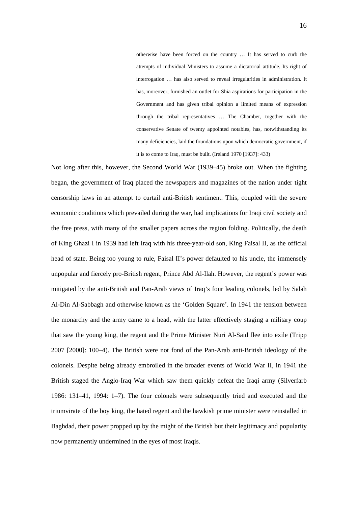otherwise have been forced on the country … It has served to curb the attempts of individual Ministers to assume a dictatorial attitude. Its right of interrogation … has also served to reveal irregularities in administration. It has, moreover, furnished an outlet for Shia aspirations for participation in the Government and has given tribal opinion a limited means of expression through the tribal representatives … The Chamber, together with the conservative Senate of twenty appointed notables, has, notwithstanding its many deficiencies, laid the foundations upon which democratic government, if it is to come to Iraq, must be built. (Ireland 1970 [1937]: 433)

Not long after this, however, the Second World War (1939–45) broke out. When the fighting began, the government of Iraq placed the newspapers and magazines of the nation under tight censorship laws in an attempt to curtail anti-British sentiment. This, coupled with the severe economic conditions which prevailed during the war, had implications for Iraqi civil society and the free press, with many of the smaller papers across the region folding. Politically, the death of King Ghazi I in 1939 had left Iraq with his three-year-old son, King Faisal II, as the official head of state. Being too young to rule, Faisal II's power defaulted to his uncle, the immensely unpopular and fiercely pro-British regent, Prince Abd Al-Ilah. However, the regent's power was mitigated by the anti-British and Pan-Arab views of Iraq's four leading colonels, led by Salah Al-Din Al-Sabbagh and otherwise known as the 'Golden Square'. In 1941 the tension between the monarchy and the army came to a head, with the latter effectively staging a military coup that saw the young king, the regent and the Prime Minister Nuri Al-Said flee into exile (Tripp 2007 [2000]: 100–4). The British were not fond of the Pan-Arab anti-British ideology of the colonels. Despite being already embroiled in the broader events of World War II, in 1941 the British staged the Anglo-Iraq War which saw them quickly defeat the Iraqi army (Silverfarb 1986: 131–41, 1994: 1–7). The four colonels were subsequently tried and executed and the triumvirate of the boy king, the hated regent and the hawkish prime minister were reinstalled in Baghdad, their power propped up by the might of the British but their legitimacy and popularity now permanently undermined in the eyes of most Iraqis.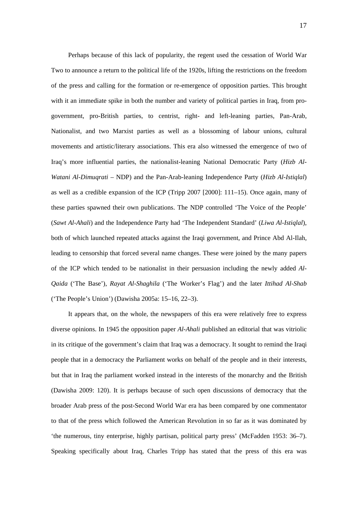Perhaps because of this lack of popularity, the regent used the cessation of World War Two to announce a return to the political life of the 1920s, lifting the restrictions on the freedom of the press and calling for the formation or re-emergence of opposition parties. This brought with it an immediate spike in both the number and variety of political parties in Iraq, from progovernment, pro-British parties, to centrist, right- and left-leaning parties, Pan-Arab, Nationalist, and two Marxist parties as well as a blossoming of labour unions, cultural movements and artistic/literary associations. This era also witnessed the emergence of two of Iraq's more influential parties, the nationalist-leaning National Democratic Party (*Hizb Al-Watani Al-Dimuqrati* – NDP) and the Pan-Arab-leaning Independence Party (*Hizb Al-Istiqlal*) as well as a credible expansion of the ICP (Tripp 2007 [2000]: 111–15). Once again, many of these parties spawned their own publications. The NDP controlled 'The Voice of the People' (*Sawt Al-Ahali*) and the Independence Party had 'The Independent Standard' (*Liwa Al-Istiqlal*), both of which launched repeated attacks against the Iraqi government, and Prince Abd Al-Ilah, leading to censorship that forced several name changes. These were joined by the many papers of the ICP which tended to be nationalist in their persuasion including the newly added *Al-Qaida* ('The Base'), *Rayat Al-Shaghila* ('The Worker's Flag') and the later *Ittihad Al-Shab* ('The People's Union') (Dawisha 2005a: 15–16, 22–3).

It appears that, on the whole, the newspapers of this era were relatively free to express diverse opinions. In 1945 the opposition paper *Al-Ahali* published an editorial that was vitriolic in its critique of the government's claim that Iraq was a democracy. It sought to remind the Iraqi people that in a democracy the Parliament works on behalf of the people and in their interests, but that in Iraq the parliament worked instead in the interests of the monarchy and the British (Dawisha 2009: 120). It is perhaps because of such open discussions of democracy that the broader Arab press of the post-Second World War era has been compared by one commentator to that of the press which followed the American Revolution in so far as it was dominated by 'the numerous, tiny enterprise, highly partisan, political party press' (McFadden 1953: 36–7). Speaking specifically about Iraq, Charles Tripp has stated that the press of this era was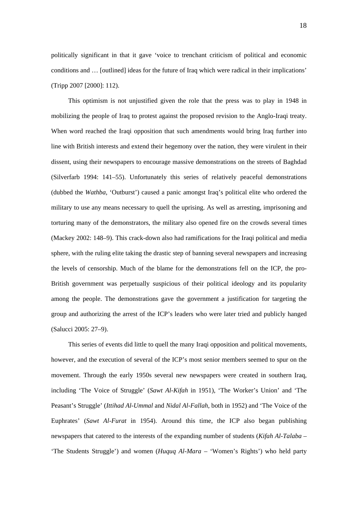politically significant in that it gave 'voice to trenchant criticism of political and economic conditions and … [outlined] ideas for the future of Iraq which were radical in their implications' (Tripp 2007 [2000]: 112).

This optimism is not unjustified given the role that the press was to play in 1948 in mobilizing the people of Iraq to protest against the proposed revision to the Anglo-Iraqi treaty. When word reached the Iraqi opposition that such amendments would bring Iraq further into line with British interests and extend their hegemony over the nation, they were virulent in their dissent, using their newspapers to encourage massive demonstrations on the streets of Baghdad (Silverfarb 1994: 141–55). Unfortunately this series of relatively peaceful demonstrations (dubbed the *Wathba*, 'Outburst') caused a panic amongst Iraq's political elite who ordered the military to use any means necessary to quell the uprising. As well as arresting, imprisoning and torturing many of the demonstrators, the military also opened fire on the crowds several times (Mackey 2002: 148–9). This crack-down also had ramifications for the Iraqi political and media sphere, with the ruling elite taking the drastic step of banning several newspapers and increasing the levels of censorship. Much of the blame for the demonstrations fell on the ICP, the pro-British government was perpetually suspicious of their political ideology and its popularity among the people. The demonstrations gave the government a justification for targeting the group and authorizing the arrest of the ICP's leaders who were later tried and publicly hanged (Salucci 2005: 27–9).

This series of events did little to quell the many Iraqi opposition and political movements, however, and the execution of several of the ICP's most senior members seemed to spur on the movement. Through the early 1950s several new newspapers were created in southern Iraq, including 'The Voice of Struggle' (*Sawt Al-Kifah* in 1951), 'The Worker's Union' and 'The Peasant's Struggle' (*Ittihad Al-Ummal* and *Nidal Al-Fallah*, both in 1952) and 'The Voice of the Euphrates' (*Sawt Al-Furat* in 1954). Around this time, the ICP also began publishing newspapers that catered to the interests of the expanding number of students (*Kifah Al-Talaba* – 'The Students Struggle') and women (*Huquq Al-Mara* – 'Women's Rights') who held party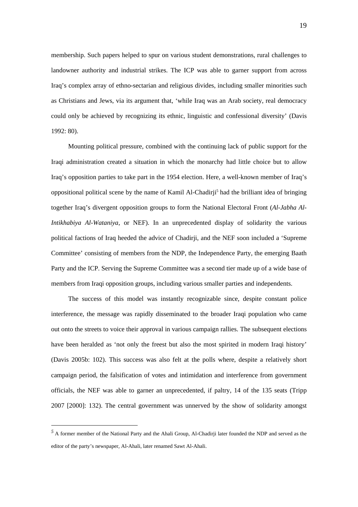membership. Such papers helped to spur on various student demonstrations, rural challenges to landowner authority and industrial strikes. The ICP was able to garner support from across Iraq's complex array of ethno-sectarian and religious divides, including smaller minorities such as Christians and Jews, via its argument that, 'while Iraq was an Arab society, real democracy could only be achieved by recognizing its ethnic, linguistic and confessional diversity' (Davis 1992: 80).

Mounting political pressure, combined with the continuing lack of public support for the Iraqi administration created a situation in which the monarchy had little choice but to allow Iraq's opposition parties to take part in the 1954 election. Here, a well-known member of Iraq's oppositional political scene by the name of Kamil Al-Chadirji<sup>5</sup> had the brilliant idea of bringing together Iraq's divergent opposition groups to form the National Electoral Front (*Al-Jabha Al-Intikhabiya Al-Wataniya*, or NEF). In an unprecedented display of solidarity the various political factions of Iraq heeded the advice of Chadirji, and the NEF soon included a 'Supreme Committee' consisting of members from the NDP, the Independence Party, the emerging Baath Party and the ICP. Serving the Supreme Committee was a second tier made up of a wide base of members from Iraqi opposition groups, including various smaller parties and independents.

The success of this model was instantly recognizable since, despite constant police interference, the message was rapidly disseminated to the broader Iraqi population who came out onto the streets to voice their approval in various campaign rallies. The subsequent elections have been heralded as 'not only the freest but also the most spirited in modern Iraqi history' (Davis 2005b: 102). This success was also felt at the polls where, despite a relatively short campaign period, the falsification of votes and intimidation and interference from government officials, the NEF was able to garner an unprecedented, if paltry, 14 of the 135 seats (Tripp 2007 [2000]: 132). The central government was unnerved by the show of solidarity amongst

<u>.</u>

<sup>&</sup>lt;sup>5</sup> A former member of the National Party and the Ahali Group, Al-Chadirji later founded the NDP and served as the editor of the party's newspaper, Al-Ahali, later renamed Sawt Al-Ahali.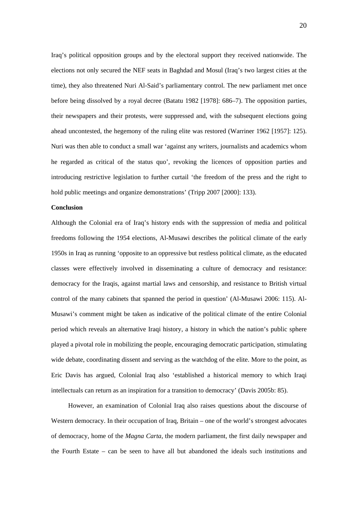Iraq's political opposition groups and by the electoral support they received nationwide. The elections not only secured the NEF seats in Baghdad and Mosul (Iraq's two largest cities at the time), they also threatened Nuri Al-Said's parliamentary control. The new parliament met once before being dissolved by a royal decree (Batatu 1982 [1978]: 686–7). The opposition parties, their newspapers and their protests, were suppressed and, with the subsequent elections going ahead uncontested, the hegemony of the ruling elite was restored (Warriner 1962 [1957]: 125). Nuri was then able to conduct a small war 'against any writers, journalists and academics whom he regarded as critical of the status quo', revoking the licences of opposition parties and introducing restrictive legislation to further curtail 'the freedom of the press and the right to hold public meetings and organize demonstrations' (Tripp 2007 [2000]: 133).

#### **Conclusion**

Although the Colonial era of Iraq's history ends with the suppression of media and political freedoms following the 1954 elections, Al-Musawi describes the political climate of the early 1950s in Iraq as running 'opposite to an oppressive but restless political climate, as the educated classes were effectively involved in disseminating a culture of democracy and resistance: democracy for the Iraqis, against martial laws and censorship, and resistance to British virtual control of the many cabinets that spanned the period in question' (Al-Musawi 2006: 115). Al-Musawi's comment might be taken as indicative of the political climate of the entire Colonial period which reveals an alternative Iraqi history, a history in which the nation's public sphere played a pivotal role in mobilizing the people, encouraging democratic participation, stimulating wide debate, coordinating dissent and serving as the watchdog of the elite. More to the point, as Eric Davis has argued, Colonial Iraq also 'established a historical memory to which Iraqi intellectuals can return as an inspiration for a transition to democracy' (Davis 2005b: 85).

However, an examination of Colonial Iraq also raises questions about the discourse of Western democracy. In their occupation of Iraq, Britain – one of the world's strongest advocates of democracy, home of the *Magna Carta*, the modern parliament, the first daily newspaper and the Fourth Estate – can be seen to have all but abandoned the ideals such institutions and